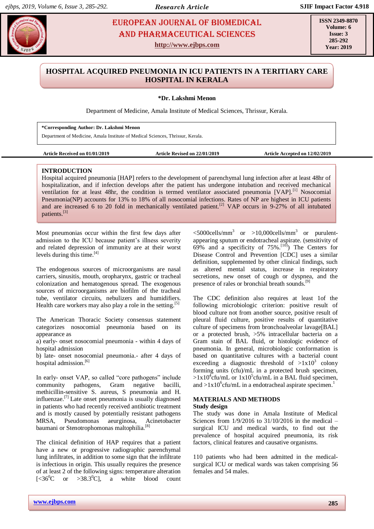# **Menon According EUROPEAN JOURNAL OF BIOMEDICAL And Pharmaceutical Sciences** AND Pharmaceutical sciences

**http://www.ejbps.com**

**ISSN 2349-8870 Volume: 6 Issue: 3 285-292 Year: 2019**

### **HOSPITAL ACQUIRED PNEUMONIA IN ICU PATIENTS IN A TERITIARY CARE HOSPITAL IN KERALA**

**\*Dr. Lakshmi Menon**

Department of Medicine, Amala Institute of Medical Sciences, Thrissur, Kerala.

**\*Corresponding Author: Dr. Lakshmi Menon**

Department of Medicine, Amala Institute of Medical Sciences, Thrissur, Kerala.

**Article Received on 01/01/2019 Article Revised on 22/01/2019 Article Accepted on 12/02/2019**

#### **INTRODUCTION**

Hospital acquired pneumonia [HAP] refers to the development of parenchymal lung infection after at least 48hr of hospitalization, and if infection develops after the patient has undergone intubation and received mechanical ventilation for at least 48hr, the condition is termed ventilator associated pneumonia [VAP].<sup>[1]</sup> Nosocomial Pneumonia(NP) accounts for 13% to 18% of all nosocomial infections. Rates of NP are highest in ICU patients and are increased 6 to 20 fold in mechanically ventilated patient.<sup>[2]</sup> VAP occurs in 9-27% of all intubated patients.[3]

Most pneumonias occur within the first few days after admission to the ICU because patient's illness severity and related depression of immunity are at their worst levels during this time.<sup>[4]</sup>

The endogenous sources of microorganisms are nasal carriers, sinusitis, mouth, oropharynx, gastric or tracheal colonization and hematogenous spread. The exogenous sources of microorganisms are biofilm of the tracheal tube, ventilator circuits, nebulizers and humidifiers. Health care workers may also play a role in the setting.<sup>[5]</sup>

The American Thoracic Society consensus statement categorizes nosocomial pneumonia based on its appearance as

a) early- onset nosocomial pneumonia - within 4 days of hospital admission

b) late- onset nosocomial pneumonia.- after 4 days of hospital admission.<sup>[6]</sup>

In early- onset VAP, so called "core pathogens" include community pathogens, Gram negative bacilli, methicillin-sensitive S. aureus, S pneumonia and H. influenzae.<sup>[7]</sup> Late onset pneumonia is usually diagnosed in patients who had recently received antibiotic treatment and is mostly caused by potentially resistant pathogens MRSA, Pseudomonas aeurginosa, Acinetobacter baumani or Stenotrophomonas maltophilia.<sup>[8]</sup>

The clinical definition of HAP requires that a patient have a new or progressive radiographic parenchymal lung infiltrates, in addition to some sign that the infiltrate is infectious in origin. This usually requires the presence of at least 2 of the following signs: temperature alteration  $[\langle 36^{\circ}\text{C} \quad \text{or} \quad >38.3^{\circ}\text{C}]$ , a white blood count

 $\langle$  5000cells/mm<sup>3</sup> or >10,000cells/mm<sup>3</sup> or purulentappearing sputum or endotracheal aspirate. (sensitivity of  $69\%$  and a specificity of  $75\%$ .<sup>[10]</sup>) The Centers for Disease Control and Prevention [CDC] uses a similar definition, supplemented by other clinical findings, such as altered mental status, increase in respiratory secretions, new onset of cough or dyspnea, and the presence of rales or bronchial breath sounds.[9]

The CDC definition also requires at least 1of the following microbiologic criterion: positive result of blood culture not from another source, positive result of pleural fluid culture, positive results of quantitative culture of specimens from bronchoalveolar lavage[BAL] or a protected brush, >5% intracellular bacteria on a Gram stain of BAL fluid, or histologic evidence of pneumonia. In general, microbiologic conformation is based on quantitative cultures with a bacterial count exceeding a diagnostic threshold of  $>1x10^3$  colony forming units (cfu)/mL in a protected brush specimen,  $>1x10^4$ cfu/mL or  $1x10^5$ cfu/mL in a BAL fluid specimen, and  $>1x10^6$ cfu/mL in a endotracheal aspirate specimen.<sup>1</sup>

#### **MATERIALS AND METHODS Study design**

The study was done in Amala Institute of Medical Sciences from 1/9/2016 to 31/10/2016 in the medical – surgical ICU and medical wards, to find out the prevalence of hospital acquired pneumonia, its risk factors, clinical features and causative organisms.

110 patients who had been admitted in the medicalsurgical ICU or medical wards was taken comprising 56 females and 54 males.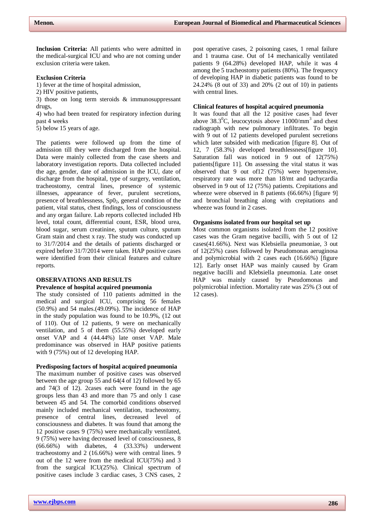**Inclusion Criteria:** All patients who were admitted in the medical-surgical ICU and who are not coming under exclusion criteria were taken.

#### **Exclusion Criteria**

1) fever at the time of hospital admission,

- 2) HIV positive patients,
- 3) those on long term steroids & immunosuppressant drugs,

4) who had been treated for respiratory infection during past 4 weeks

5) below 15 years of age.

The patients were followed up from the time of admission till they were discharged from the hospital. Data were mainly collected from the case sheets and laboratory investigation reports. Data collected included the age, gender, date of admission in the ICU, date of discharge from the hospital, type of surgery, ventilation, tracheostomy, central lines, presence of systemic illnesses, appearance of fever, purulent secretions, presence of breathlessness,  $SpO<sub>2</sub>$ , general condition of the patient, vital status, chest findings, loss of consciousness and any organ failure. Lab reports collected included Hb level, total count, differential count, ESR, blood urea, blood sugar, serum creatinine, sputum culture, sputum Gram stain and chest x ray. The study was conducted up to 31/7/2014 and the details of patients discharged or expired before 31/7/2014 were taken. HAP positive cases were identified from their clinical features and culture reports.

## **OBSERVATIONS AND RESULTS**

#### **Prevalence of hospital acquired pneumonia**

The study consisted of 110 patients admitted in the medical and surgical ICU, comprising 56 females (50.9%) and 54 males.(49.09%). The incidence of HAP in the study population was found to be 10.9%, (12 out of 110). Out of 12 patients, 9 were on mechanically ventilation, and 5 of them (55.55%) developed early onset VAP and 4 (44.44%) late onset VAP. Male predominance was observed in HAP positive patients with 9 (75%) out of 12 developing HAP.

#### **Predisposing factors of hospital acquired pneumonia**

The maximum number of positive cases was observed between the age group 55 and 64(4 of 12) followed by 65 and 74(3 of 12). 2cases each were found in the age groups less than 43 and more than 75 and only 1 case between 45 and 54. The comorbid conditions observed mainly included mechanical ventilation, tracheostomy, presence of central lines, decreased level of consciousness and diabetes. It was found that among the 12 positive cases 9 (75%) were mechanically ventilated, 9 (75%) were having decreased level of consciousness, 8 (66.66%) with diabetes, 4 (33.33%) underwent tracheostomy and 2 (16.66%) were with central lines. 9 out of the 12 were from the medical ICU(75%) and 3 from the surgical ICU(25%). Clinical spectrum of positive cases include 3 cardiac cases, 3 CNS cases, 2

post operative cases, 2 poisoning cases, 1 renal failure and 1 trauma case. Out of 14 mechanically ventilated patients 9 (64.28%) developed HAP, while it was 4 among the 5 tracheostomy patients (80%). The frequency of developing HAP in diabetic patients was found to be 24.24% (8 out of 33) and 20% (2 out of 10) in patients with central lines.

#### **Clinical features of hospital acquired pneumonia**

It was found that all the 12 positive cases had fever above  $38.3^{\circ}$ C, leucocytosis above 11000/mm<sup>3</sup> and chest radiograph with new pulmonary infiltrates. To begin with 9 out of 12 patients developed purulent secretions which later subsided with medication [figure 8]. Out of 12, 7 (58.3%) developed breathlessness[figure 10]. Saturation fall was noticed in 9 out of 12(75%) patients[figure 11]. On assessing the vital status it was observed that 9 out of12 (75%) were hypertensive, respiratory rate was more than 18/mt and tachycardia observed in 9 out of 12 (75%) patients. Crepitations and wheeze were observed in 8 patients (66.66%) [figure 9] and bronchial breathing along with crepitations and wheeze was found in 2 cases.

#### **Organisms isolated from our hospital set up**

Most common organisms isolated from the 12 positive cases was the Gram negative bacilli, with 5 out of 12 cases(41.66%). Next was Klebsiella pneumoniae, 3 out of 12(25%) cases followed by Pseudomonas aeruginosa and polymicrobial with 2 cases each (16.66%) [figure 12]. Early onset HAP was mainly caused by Gram negative bacilli and Klebsiella pneumonia. Late onset HAP was mainly caused by Pseudomonas and polymicrobial infection. Mortality rate was 25% (3 out of 12 cases).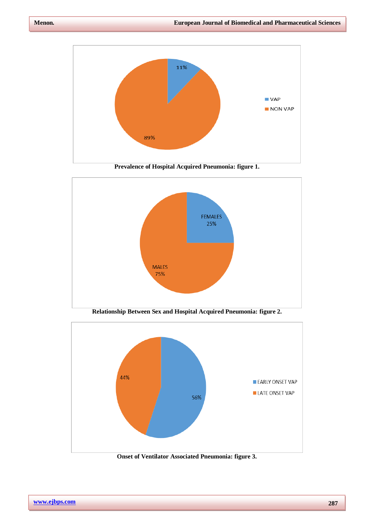

**Prevalence of Hospital Acquired Pneumonia: figure 1.**



**Relationship Between Sex and Hospital Acquired Pneumonia: figure 2.**



**Onset of Ventilator Associated Pneumonia: figure 3.**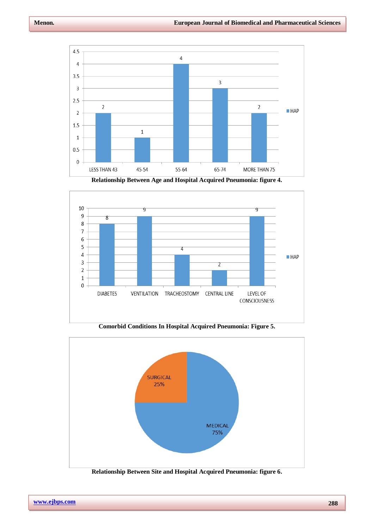

**Relationship Between Age and Hospital Acquired Pneumonia: figure 4.**



**Comorbid Conditions In Hospital Acquired Pneumonia: Figure 5.**

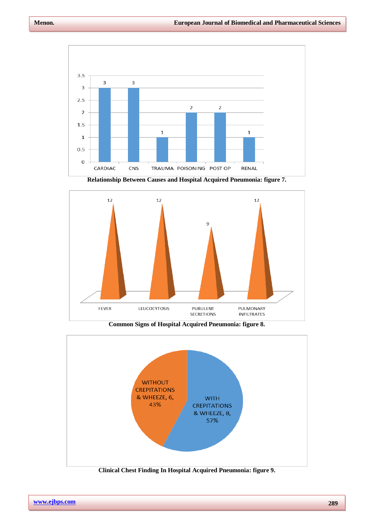

**Relationship Between Causes and Hospital Acquired Pneumonia: figure 7.**



**Common Signs of Hospital Acquired Pneumonia: figure 8.**



**Clinical Chest Finding In Hospital Acquired Pneumonia: figure 9.**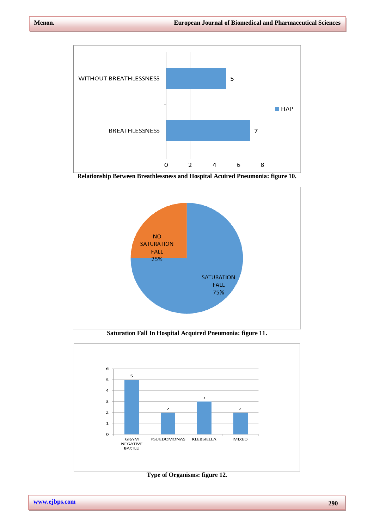

**Relationship Between Breathlessness and Hospital Acuired Pneumonia: figure 10.**



**Saturation Fall In Hospital Acquired Pneumonia: figure 11.**



**Type of Organisms: figure 12.**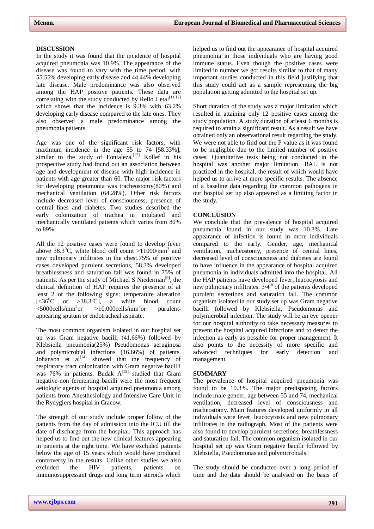#### **DISCUSSION**

In the study it was found that the incidence of hospital acquired pneumonia was 10.9%. The appearance of the disease was found to vary with the time period, with 55.55% developing early disease and 44.44% developing late disease. Male predominance was also observed among the HAP positive patients. These data are correlating with the study conducted by Rello J etal<sup>[11,12]</sup> which shows that the incidence is 9.3% with 63.2% developing early disease compared to the late ones. They also observed a male predominance among the pneumonia patients.

Age was one of the significant risk factors, with maximum incidence in the age 55 to 74 [58.33%], similar to the study of Fontaleza.<sup>[12]</sup> Kollef in his prospective study had found out an association between age and development of disease with high incidence in patients with age greater than 60. The major risk factors for developing pneumonia was tracheostomy(80%) and mechanical ventilation (64.28%). Other risk factors include decreased level of consciousness, presence of central lines and diabetes. Two studies described the early colonization of trachea in intubated and mechanically ventilated patients which varies from 80% to 89%.

All the 12 positive cases were found to develop fever above 38.3<sup>0</sup>C, white blood cell count >11000/mm<sup>3</sup> and new pulmonary infiltrates in the chest.75% of positive cases developed purulent secretions, 58.3% developed breathlessness and saturation fall was found in 75% of patients. As per the study of Michael S Niederman<sup>[9]</sup>, the clinical definition of HAP requires the presence of at least 2 of the following signs: temperature alteration  $[\langle 36^{\circ}\text{C} \quad \text{or} \quad >38.3^{\circ}\text{C}],$  a white blood count  $<$ 5000cells/mm<sup>3</sup>or  $>10,000$ cells/mm<sup>3</sup>or purulentappearing sputum or endotracheal aspirate.

The most common organism isolated in our hospital set up was Gram negative bacilli (41.66%) followed by Klebsiella pneumonia(25%) Pseudomonas aeruginosa and polymicrobial infections (16.66%) of patients. Johanson et  $al^{[14]}$  showed that the frequency of respiratory tract colonization with Gram negative bacilli was 76% in patients. Budak  $A^{[15]}$  studied that Gram negative-non fermenting bacilli were the most frequent aetiologic agents of hospital acquired pneumonia among patients from Anesthesiology and Intensive Care Unit in the Rydygiers hospital in Cracow.

The strength of our study include proper follow of the patients from the day of admission into the ICU till the date of discharge from the hospital. This approach has helped us to find out the new clinical features appearing in patients at the right time. We have excluded patients below the age of 15 years which would have produced controversy in the results. Unlike other studies we also excluded the HIV patients, patients on immunosuppressant drugs and long term steroids which

helped us to find out the appearance of hospital acquired pneumonia in those individuals who are having good immune status. Even though the positive cases were limited in number we got results similar to that of many important studies conducted in this field justifying that this study could act as a sample representing the big population getting admitted to the hospital set up.

Short duration of the study was a major limitation which resulted in attaining only 12 positive cases among the study population. A study duration of atleast 6 months is required to attain a significant result. As a result we have obtained only an observational result regarding the study. We were not able to find out the P value as it was found to be negligible due to the limited number of positive cases. Quantitative tests being not conducted in the hospital was another major limitation. BAL is not practiced in the hospital, the result of which would have helped us to arrive at more specific results. The absence of a baseline data regarding the common pathogens in our hospital set up also appeared as a limiting factor in the study.

#### **CONCLUSION**

We conclude that the prevalence of hospital acquired pneumonia found in our study was 10.3%. Late appearance of infection is found in more individuals compared to the early. Gender, age, mechanical ventilation, tracheostomy, presence of central lines, decreased level of consciousness and diabetes are found to have influence in the appearance of hospital acquired pneumonia in individuals admitted into the hospital. All the HAP patients have developed fever, leucocytosis and new pulmonary infiltrates.  $3/4<sup>th</sup>$  of the patients developed purulent secretions and saturation fall. The common organism isolated in our study set up was Gram negative bacilli followed by Klebsiella, Pseudomonas and polymicrobial infection. The study will be an eye opener for our hospital authority to take necessary measures to prevent the hospital acquired infections and to detect the infection as early as possible for proper management. It also points to the necessity of more specific and advanced techniques for early detection and management.

#### **SUMMARY**

The prevalence of hospital acquired pneumonia was found to be 10.3%. The major predisposing factors include male gender, age between 55 and 74, mechanical ventilation, decreased level of consciousness and tracheostomy. Main features developed uniformly in all individuals were fever, leucocytosis and new pulmonary infiltrates in the radiograph. Most of the patients were also found to develop purulent secretions, breathlessness and saturation fall. The common organism isolated in our hospital set up was Gram negative bacilli followed by Klebsiella, Pseudomonas and polymicrobials.

The study should be conducted over a long period of time and the data should be analysed on the basis of